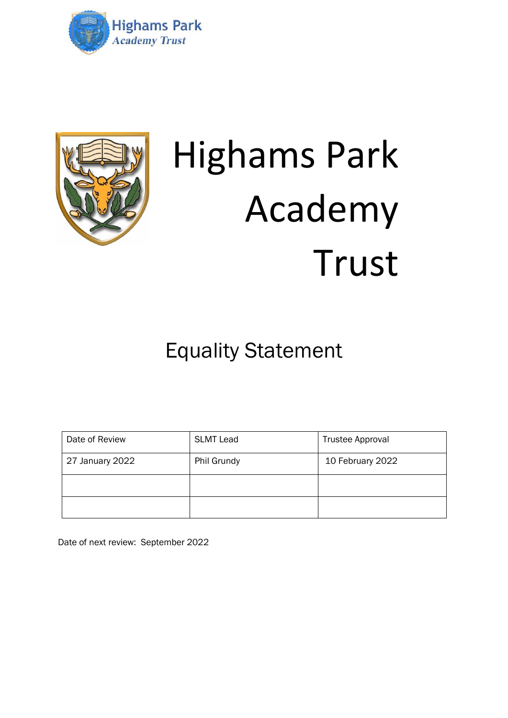



## Highams Park Academy Trust

Equality Statement

| Date of Review  | <b>SLMT Lead</b> | <b>Trustee Approval</b> |
|-----------------|------------------|-------------------------|
| 27 January 2022 | Phil Grundy      | 10 February 2022        |
|                 |                  |                         |
|                 |                  |                         |

Date of next review: September 2022